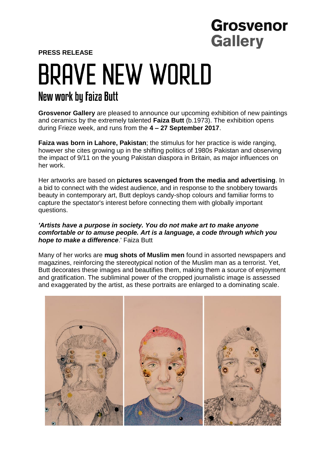## **Grosvenor Gallery**

**PRESS RELEASE**

# **BRAVE NEW WORLD** New work by Faiza Butt

**Grosvenor Gallery** are pleased to announce our upcoming exhibition of new paintings and ceramics by the extremely talented **Faiza Butt** (b.1973). The exhibition opens during Frieze week, and runs from the **4 – 27 September 2017**.

**Faiza was born in Lahore, Pakistan**; the stimulus for her practice is wide ranging, however she cites growing up in the shifting politics of 1980s Pakistan and observing the impact of 9/11 on the young Pakistan diaspora in Britain, as major influences on her work.

Her artworks are based on **pictures scavenged from the media and advertising**. In a bid to connect with the widest audience, and in response to the snobbery towards beauty in contemporary art, Butt deploys candy-shop colours and familiar forms to capture the spectator's interest before connecting them with globally important questions.

### *'Artists have a purpose in society. You do not make art to make anyone comfortable or to amuse people. Art is a language, a code through which you hope to make a difference*.' Faiza Butt

Many of her works are **mug shots of Muslim men** found in assorted newspapers and magazines, reinforcing the stereotypical notion of the Muslim man as a terrorist. Yet, Butt decorates these images and beautifies them, making them a source of enjoyment and gratification. The subliminal power of the cropped journalistic image is assessed and exaggerated by the artist, as these portraits are enlarged to a dominating scale.